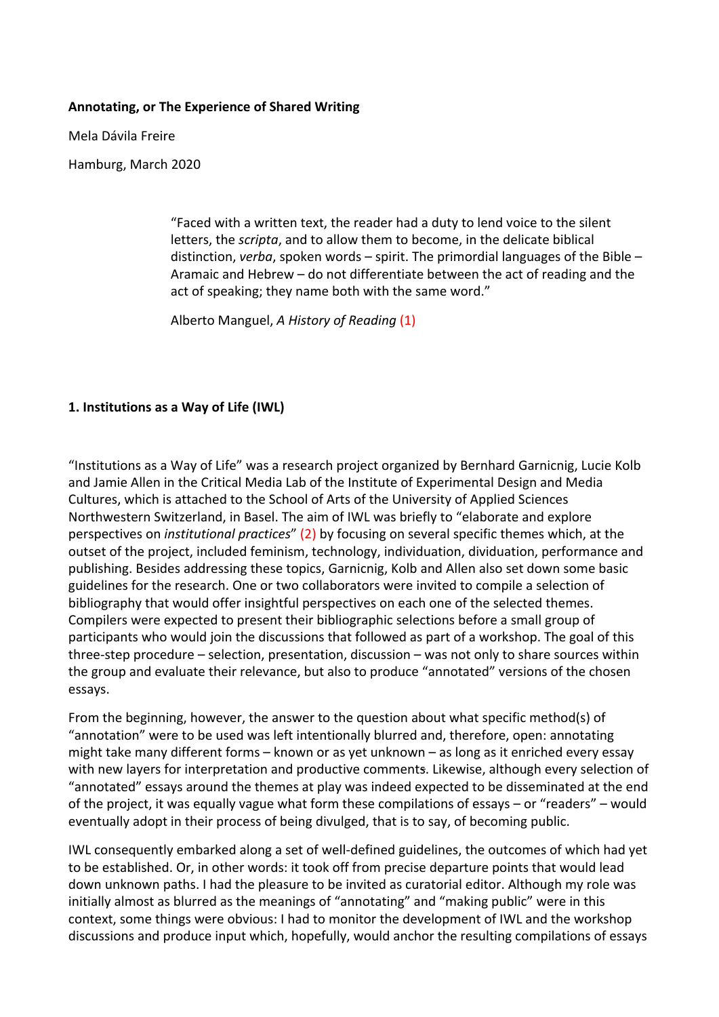#### **Annotating, or The Experience of Shared Writing**

Mela Dávila Freire

Hamburg, March 2020

"Faced with a written text, the reader had a duty to lend voice to the silent letters, the *scripta*, and to allow them to become, in the delicate biblical distinction, *verba*, spoken words – spirit. The primordial languages of the Bible – Aramaic and Hebrew – do not differentiate between the act of reading and the act of speaking; they name both with the same word."

Alberto Manguel, *A History of Reading* (1)

### **1. Institutions as a Way of Life (IWL)**

"Institutions as a Way of Life" was a research project organized by Bernhard Garnicnig, Lucie Kolb and Jamie Allen in the Critical Media Lab of the Institute of Experimental Design and Media Cultures, which is attached to the School of Arts of the University of Applied Sciences Northwestern Switzerland, in Basel. The aim of IWL was briefly to "elaborate and explore perspectives on *institutional practices*" (2) by focusing on several specific themes which, at the outset of the project, included feminism, technology, individuation, dividuation, performance and publishing. Besides addressing these topics, Garnicnig, Kolb and Allen also set down some basic guidelines for the research. One or two collaborators were invited to compile a selection of bibliography that would offer insightful perspectives on each one of the selected themes. Compilers were expected to present their bibliographic selections before a small group of participants who would join the discussions that followed as part of a workshop. The goal of this three-step procedure – selection, presentation, discussion – was not only to share sources within the group and evaluate their relevance, but also to produce "annotated" versions of the chosen essays.

From the beginning, however, the answer to the question about what specific method(s) of "annotation" were to be used was left intentionally blurred and, therefore, open: annotating might take many different forms – known or as yet unknown – as long as it enriched every essay with new layers for interpretation and productive comments. Likewise, although every selection of "annotated" essays around the themes at play was indeed expected to be disseminated at the end of the project, it was equally vague what form these compilations of essays – or "readers" – would eventually adopt in their process of being divulged, that is to say, of becoming public.

IWL consequently embarked along a set of well-defined guidelines, the outcomes of which had yet to be established. Or, in other words: it took off from precise departure points that would lead down unknown paths. I had the pleasure to be invited as curatorial editor. Although my role was initially almost as blurred as the meanings of "annotating" and "making public" were in this context, some things were obvious: I had to monitor the development of IWL and the workshop discussions and produce input which, hopefully, would anchor the resulting compilations of essays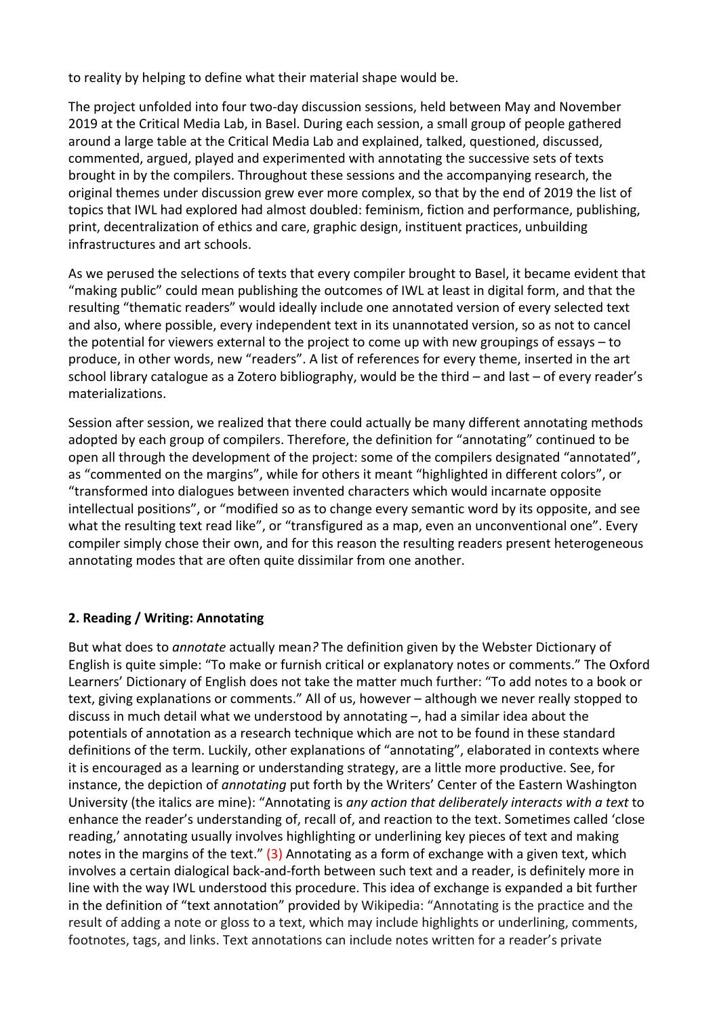to reality by helping to define what their material shape would be.

The project unfolded into four two-day discussion sessions, held between May and November 2019 at the Critical Media Lab, in Basel. During each session, a small group of people gathered around a large table at the Critical Media Lab and explained, talked, questioned, discussed, commented, argued, played and experimented with annotating the successive sets of texts brought in by the compilers. Throughout these sessions and the accompanying research, the original themes under discussion grew ever more complex, so that by the end of 2019 the list of topics that IWL had explored had almost doubled: feminism, fiction and performance, publishing, print, decentralization of ethics and care, graphic design, instituent practices, unbuilding infrastructures and art schools.

As we perused the selections of texts that every compiler brought to Basel, it became evident that "making public" could mean publishing the outcomes of IWL at least in digital form, and that the resulting "thematic readers" would ideally include one annotated version of every selected text and also, where possible, every independent text in its unannotated version, so as not to cancel the potential for viewers external to the project to come up with new groupings of essays – to produce, in other words, new "readers". A list of references for every theme, inserted in the art school library catalogue as a Zotero bibliography, would be the third – and last – of every reader's materializations.

Session after session, we realized that there could actually be many different annotating methods adopted by each group of compilers. Therefore, the definition for "annotating" continued to be open all through the development of the project: some of the compilers designated "annotated", as "commented on the margins", while for others it meant "highlighted in different colors", or "transformed into dialogues between invented characters which would incarnate opposite intellectual positions", or "modified so as to change every semantic word by its opposite, and see what the resulting text read like", or "transfigured as a map, even an unconventional one". Every compiler simply chose their own, and for this reason the resulting readers present heterogeneous annotating modes that are often quite dissimilar from one another.

# **2. Reading / Writing: Annotating**

But what does to *annotate* actually mean*?* The definition given by the Webster Dictionary of English is quite simple: "To make or furnish critical or explanatory notes or comments." The Oxford Learners' Dictionary of English does not take the matter much further: "To add notes to a book or text, giving explanations or comments." All of us, however – although we never really stopped to discuss in much detail what we understood by annotating  $-$ , had a similar idea about the potentials of annotation as a research technique which are not to be found in these standard definitions of the term. Luckily, other explanations of "annotating", elaborated in contexts where it is encouraged as a learning or understanding strategy, are a little more productive. See, for instance, the depiction of *annotating* put forth by the Writers' Center of the Eastern Washington University (the italics are mine): "Annotating is *any action that deliberately interacts with a text* to enhance the reader's understanding of, recall of, and reaction to the text. Sometimes called 'close reading,' annotating usually involves highlighting or underlining key pieces of text and making notes in the margins of the text." (3) Annotating as a form of exchange with a given text, which involves a certain dialogical back-and-forth between such text and a reader, is definitely more in line with the way IWL understood this procedure. This idea of exchange is expanded a bit further in the definition of "text annotation" provided by Wikipedia: "Annotating is the practice and the result of adding a note or gloss to a text, which may include highlights or underlining, comments, footnotes, tags, and links. Text annotations can include notes written for a reader's private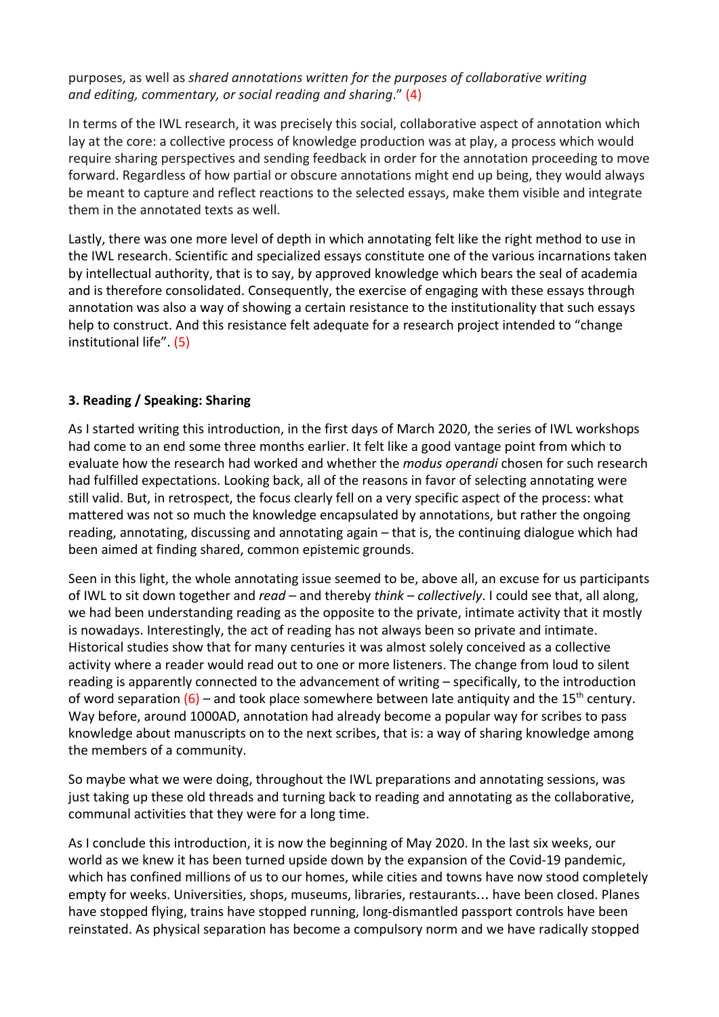# purposes, as well as *shared annotations written for the purposes of collaborative writing and editing, commentary, or social reading and sharing*." (4)

In terms of the IWL research, it was precisely this social, collaborative aspect of annotation which lay at the core: a collective process of knowledge production was at play, a process which would require sharing perspectives and sending feedback in order for the annotation proceeding to move forward. Regardless of how partial or obscure annotations might end up being, they would always be meant to capture and reflect reactions to the selected essays, make them visible and integrate them in the annotated texts as well.

Lastly, there was one more level of depth in which annotating felt like the right method to use in the IWL research. Scientific and specialized essays constitute one of the various incarnations taken by intellectual authority, that is to say, by approved knowledge which bears the seal of academia and is therefore consolidated. Consequently, the exercise of engaging with these essays through annotation was also a way of showing a certain resistance to the institutionality that such essays help to construct. And this resistance felt adequate for a research project intended to "change institutional life". (5)

# **3. Reading / Speaking: Sharing**

As I started writing this introduction, in the first days of March 2020, the series of IWL workshops had come to an end some three months earlier. It felt like a good vantage point from which to evaluate how the research had worked and whether the *modus operandi* chosen for such research had fulfilled expectations. Looking back, all of the reasons in favor of selecting annotating were still valid. But, in retrospect, the focus clearly fell on a very specific aspect of the process: what mattered was not so much the knowledge encapsulated by annotations, but rather the ongoing reading, annotating, discussing and annotating again – that is, the continuing dialogue which had been aimed at finding shared, common epistemic grounds.

Seen in this light, the whole annotating issue seemed to be, above all, an excuse for us participants of IWL to sit down together and *read* – and thereby *think* – *collectively*. I could see that, all along, we had been understanding reading as the opposite to the private, intimate activity that it mostly is nowadays. Interestingly, the act of reading has not always been so private and intimate. Historical studies show that for many centuries it was almost solely conceived as a collective activity where a reader would read out to one or more listeners. The change from loud to silent reading is apparently connected to the advancement of writing – specifically, to the introduction of word separation  $(6)$  – and took place somewhere between late antiquity and the 15<sup>th</sup> century. Way before, around 1000AD, annotation had already become a popular way for scribes to pass knowledge about manuscripts on to the next scribes, that is: a way of sharing knowledge among the members of a community.

So maybe what we were doing, throughout the IWL preparations and annotating sessions, was just taking up these old threads and turning back to reading and annotating as the collaborative, communal activities that they were for a long time.

As I conclude this introduction, it is now the beginning of May 2020. In the last six weeks, our world as we knew it has been turned upside down by the expansion of the Covid-19 pandemic, which has confined millions of us to our homes, while cities and towns have now stood completely empty for weeks. Universities, shops, museums, libraries, restaurants… have been closed. Planes have stopped flying, trains have stopped running, long-dismantled passport controls have been reinstated. As physical separation has become a compulsory norm and we have radically stopped